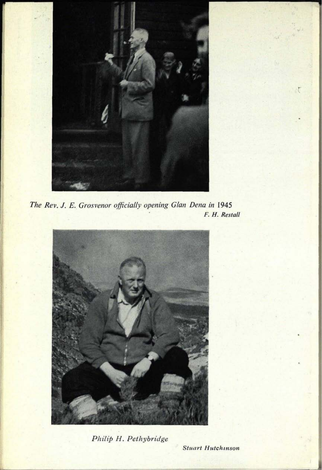

*The Rev. J. E. Grosvenor officially opening Glan Dena in* 1945 **F.** *H. Restall*



*Philip H. Pethybridge*

*Stuart Hutchmson*

 $\mathcal{L}$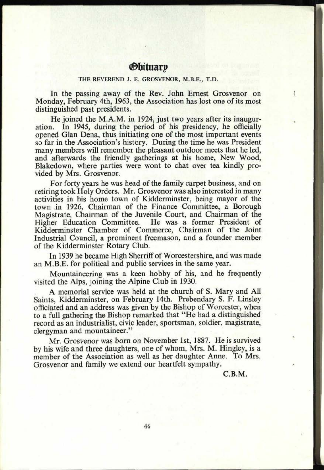## *<u>Obituary</u>*

## **THE REVEREND J. E. GROSVENOR, M.B.E., T.D.**

In the passing away of the Rev. John Ernest Grosvenor on Monday, February 4th, 1963, the Association has lost one of its most distinguished past presidents.

He joined the M.A.M. in 1924, just two years after its inaugur-<br>ation. In 1945, during the period of his presidency, he officially In 1945, during the period of his presidency, he officially opened Glan Dena, thus initiating one of the most important events so far in the Association's history. During the time he was President many members will remember the pleasant outdoor meets that he led, and afterwards the friendly gatherings at his home, New Wood, Blakedown, where parties were wont to chat over tea kindly provided by Mrs. Grosvenor.

For forty years he was head of the family carpet business, and on retiring took Holy Orders. Mr. Grosvenor was also interested in many activities in his home town of Kidderminster, being mayor of the town in 1926, Chairman of the Finance Committee, a Borough Magistrate, Chairman of the Juvenile Court, and Chairman of the He was a former President of Kidderminster Chamber of Commerce, Chairman of the Joint Industrial Council, a prominent freemason, and a founder member of the Kidderminster Rotary Club.

In 1939 he became High Sherriff of Worcestershire, and was made an M.B.E. for political and public services in the same year.

Mountaineering was <sup>a</sup>keen hobby of his, and he frequently visited the Alps, joining the Alpine Club in 1930.

A memorial service was held at the church of S. Mary and All Saints, Kidderminster, on February 14th. Prebendary S. F. Linsley officiated and an address was given by the Bishop of Worcester, when to a full gathering the Bishop remarked that "He had a distinguished record as an industrialist, civic leader, sportsman, soldier, magistrate, clergyman and mountaineer."

Mr. Grosvenor was born on November 1st, 1887. He is survived by his wife and three daughters, one of whom, Mrs. M. Hingley, is <sup>a</sup> member of the Association as well as her daughter Anne. To Mrs. Grosvenor and family we extend our heartfelt sympathy.

C.B.M.